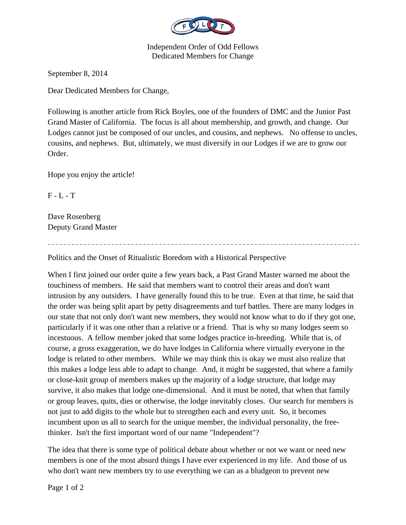

Independent Order of Odd Fellows Dedicated Members for Change

September 8, 2014

Dear Dedicated Members for Change,

Following is another article from Rick Boyles, one of the founders of DMC and the Junior Past Grand Master of California. The focus is all about membership, and growth, and change. Our Lodges cannot just be composed of our uncles, and cousins, and nephews. No offense to uncles, cousins, and nephews. But, ultimately, we must diversify in our Lodges if we are to grow our Order.

Hope you enjoy the article!

 $F - L - T$ 

Dave Rosenberg Deputy Grand Master

Politics and the Onset of Ritualistic Boredom with a Historical Perspective

When I first joined our order quite a few years back, a Past Grand Master warned me about the touchiness of members. He said that members want to control their areas and don't want intrusion by any outsiders. I have generally found this to be true. Even at that time, he said that the order was being split apart by petty disagreements and turf battles. There are many lodges in our state that not only don't want new members, they would not know what to do if they got one, particularly if it was one other than a relative or a friend. That is why so many lodges seem so incestuous. A fellow member joked that some lodges practice in-breeding. While that is, of course, a gross exaggeration, we do have lodges in California where virtually everyone in the lodge is related to other members. While we may think this is okay we must also realize that this makes a lodge less able to adapt to change. And, it might be suggested, that where a family or close-knit group of members makes up the majority of a lodge structure, that lodge may survive, it also makes that lodge one-dimensional. And it must be noted, that when that family or group leaves, quits, dies or otherwise, the lodge inevitably closes. Our search for members is not just to add digits to the whole but to strengthen each and every unit. So, it becomes incumbent upon us all to search for the unique member, the individual personality, the freethinker. Isn't the first important word of our name "Independent"?

The idea that there is some type of political debate about whether or not we want or need new members is one of the most absurd things I have ever experienced in my life. And those of us who don't want new members try to use everything we can as a bludgeon to prevent new